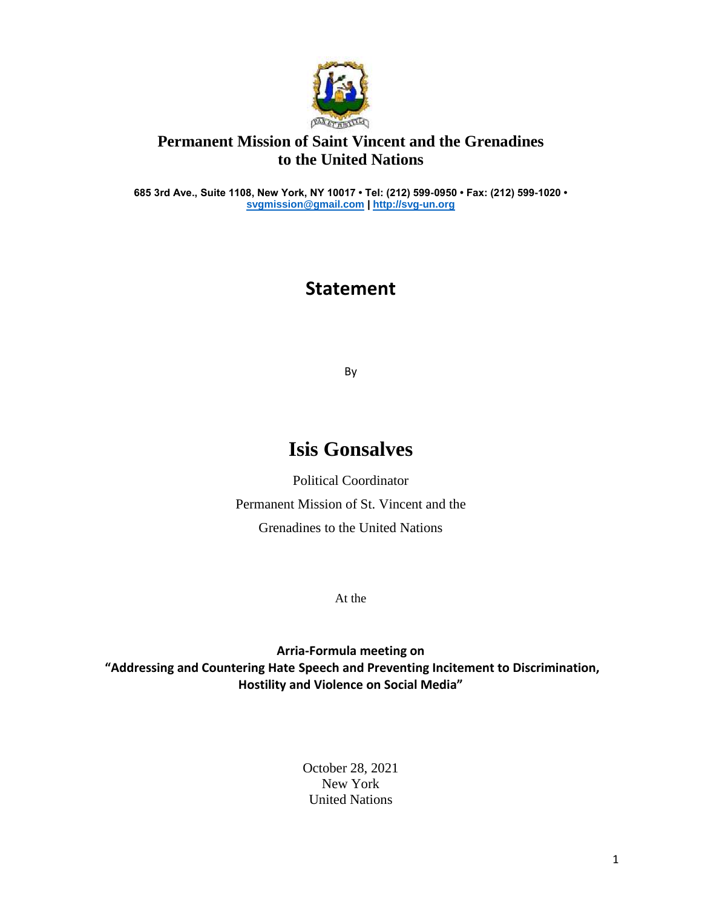

## **Permanent Mission of Saint Vincent and the Grenadines to the United Nations**

**685 3rd Ave., Suite 1108, New York, NY 10017 • Tel: (212) 599-0950 • Fax: (212) 599-1020 • [svgmission@gmail.com](mailto:svgmission@gmail.com) [| http://svg-un.org](http://svg-un.org/)**

## **Statement**

By

## **Isis Gonsalves**

Political Coordinator Permanent Mission of St. Vincent and the Grenadines to the United Nations

At the

**Arria-Formula meeting on "Addressing and Countering Hate Speech and Preventing Incitement to Discrimination, Hostility and Violence on Social Media"**

> October 28, 2021 New York United Nations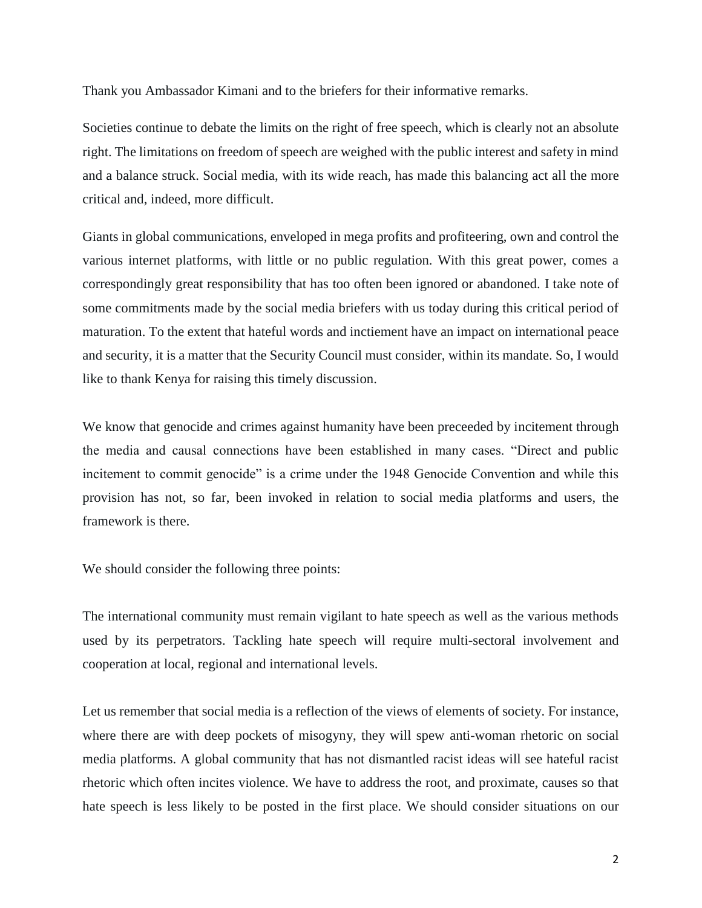Thank you Ambassador Kimani and to the briefers for their informative remarks.

Societies continue to debate the limits on the right of free speech, which is clearly not an absolute right. The limitations on freedom of speech are weighed with the public interest and safety in mind and a balance struck. Social media, with its wide reach, has made this balancing act all the more critical and, indeed, more difficult.

Giants in global communications, enveloped in mega profits and profiteering, own and control the various internet platforms, with little or no public regulation. With this great power, comes a correspondingly great responsibility that has too often been ignored or abandoned. I take note of some commitments made by the social media briefers with us today during this critical period of maturation. To the extent that hateful words and inctiement have an impact on international peace and security, it is a matter that the Security Council must consider, within its mandate. So, I would like to thank Kenya for raising this timely discussion.

We know that genocide and crimes against humanity have been preceded by incitement through the media and causal connections have been established in many cases. "Direct and public incitement to commit genocide" is a crime under the 1948 Genocide Convention and while this provision has not, so far, been invoked in relation to social media platforms and users, the framework is there.

We should consider the following three points:

The international community must remain vigilant to hate speech as well as the various methods used by its perpetrators. Tackling hate speech will require multi-sectoral involvement and cooperation at local, regional and international levels.

Let us remember that social media is a reflection of the views of elements of society. For instance, where there are with deep pockets of misogyny, they will spew anti-woman rhetoric on social media platforms. A global community that has not dismantled racist ideas will see hateful racist rhetoric which often incites violence. We have to address the root, and proximate, causes so that hate speech is less likely to be posted in the first place. We should consider situations on our